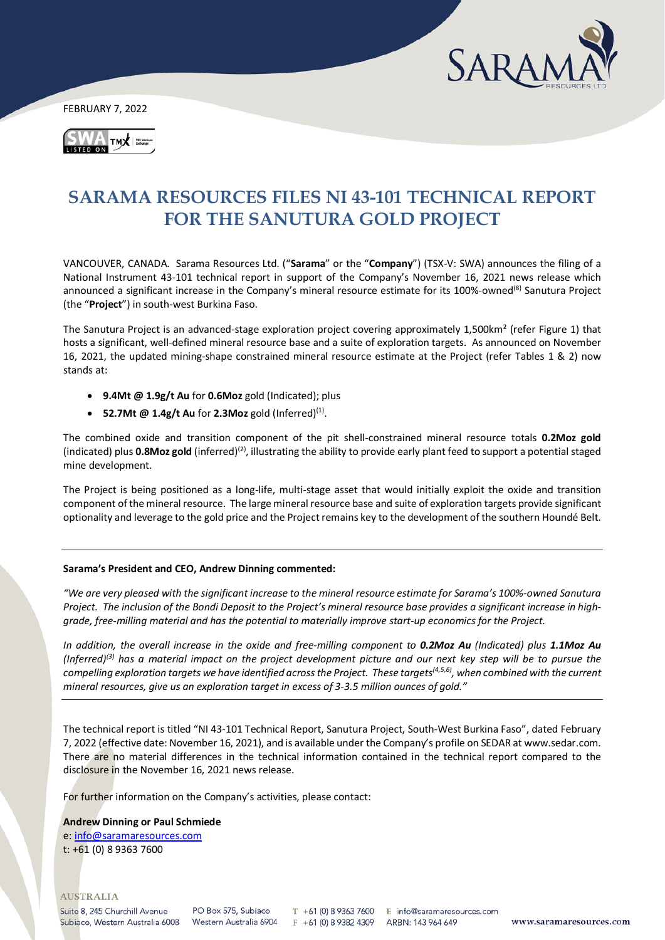

FEBRUARY 7, 2022



# **SARAMA RESOURCES FILES NI 43-101 TECHNICAL REPORT FOR THE SANUTURA GOLD PROJECT**

VANCOUVER, CANADA. Sarama Resources Ltd. ("**Sarama**" or the "**Company**") (TSX-V: SWA) announces the filing of a National Instrument 43-101 technical report in support of the Company's November 16, 2021 news release which announced a significant increase in the Company's mineral resource estimate for its 100%-owned<sup>(8)</sup> Sanutura Project (the "**Project**") in south-west Burkina Faso.

The Sanutura Project is an advanced-stage exploration project covering approximately 1,500km² (refer Figure 1) that hosts a significant, well-defined mineral resource base and a suite of exploration targets. As announced on November 16, 2021, the updated mining-shape constrained mineral resource estimate at the Project (refer Tables 1 & 2) now stands at:

- **9.4Mt @ 1.9g/t Au** for **0.6Moz** gold (Indicated); plus
- **52.7Mt @ 1.4g/t Au** for **2.3Moz** gold (Inferred)(1).

The combined oxide and transition component of the pit shell-constrained mineral resource totals **0.2Moz gold** (indicated) plus 0.8Moz gold (inferred)<sup>(2)</sup>, illustrating the ability to provide early plant feed to support a potential staged mine development.

The Project is being positioned as a long-life, multi-stage asset that would initially exploit the oxide and transition component of the mineral resource. The large mineral resource base and suite of exploration targets provide significant optionality and leverage to the gold price and the Project remains key to the development of the southern Houndé Belt.

## **Sarama's President and CEO, Andrew Dinning commented:**

*"We are very pleased with the significant increase to the mineral resource estimate for Sarama's 100%-owned Sanutura Project. The inclusion of the Bondi Deposit to the Project's mineral resource base provides a significant increase in highgrade, free-milling material and has the potential to materially improve start-up economics for the Project.*

*In addition, the overall increase in the oxide and free-milling component to 0.2Moz Au (Indicated) plus 1.1Moz Au (Inferred)(3) has a material impact on the project development picture and our next key step will be to pursue the compelling exploration targets we have identified across the Project. These targets(4,5,6) , when combined with the current mineral resources, give us an exploration target in excess of 3-3.5 million ounces of gold."*

The technical report is titled "NI 43-101 Technical Report, Sanutura Project, South-West Burkina Faso", dated February 7, 2022 (effective date: November 16, 2021), and is available under the Company's profile on SEDAR at www.sedar.com. There are no material differences in the technical information contained in the technical report compared to the disclosure in the November 16, 2021 news release.

For further information on the Company's activities, please contact:

#### **Andrew Dinning or Paul Schmiede**

e[: info@saramaresources.com](mailto:info@saramaresources.com) t: +61 (0) 8 9363 7600

#### **AUSTRALIA**

Suite 8, 245 Churchill Avenue Subiaco, Western Australia 6008

PO Box 575, Subjaco Western Australia 6904

T +61 (0) 8 9363 7600 E info@saramaresources.com  $F + 61(0) 893824309$ 

ARBN: 143 964 649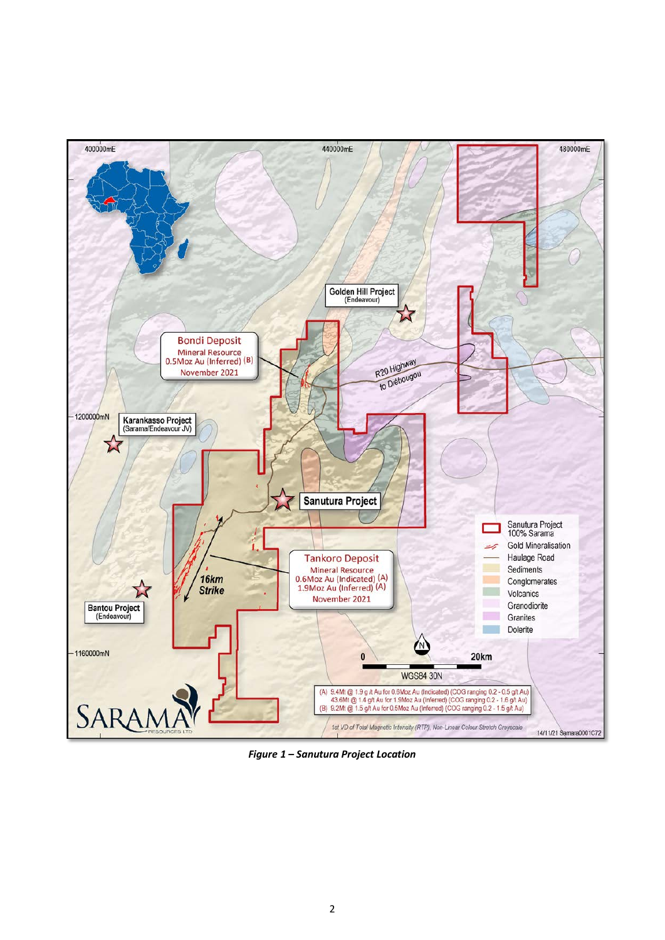

Figure 1 - Sanutura Project Location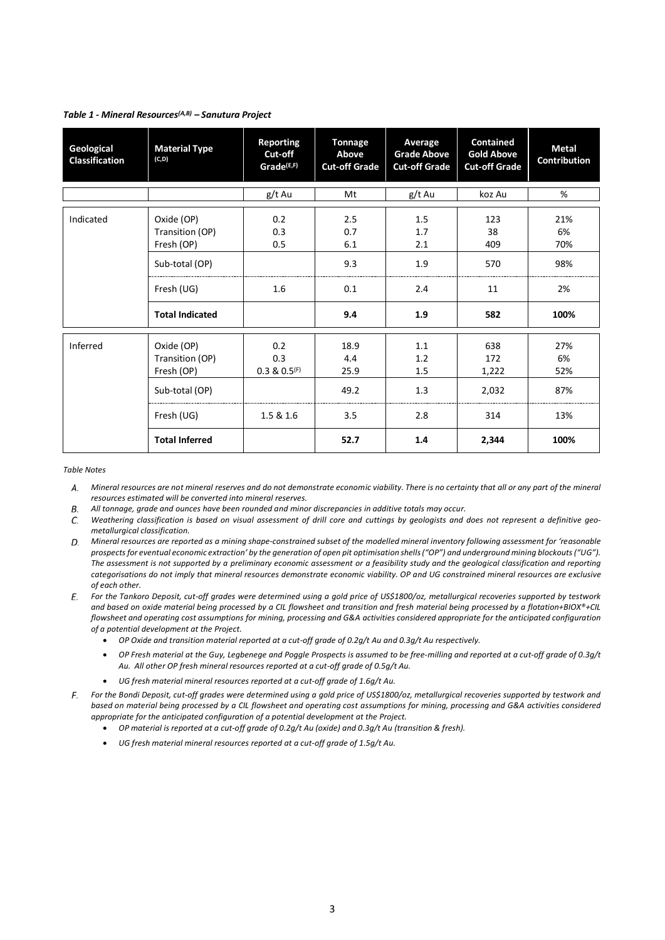#### *Table 1 - Mineral Resources(A,B) – Sanutura Project*

| Geological<br><b>Classification</b> | <b>Material Type</b><br>(C,D)                                               | <b>Reporting</b><br>Cut-off<br>Grade <sup>(E,F)</sup> | <b>Tonnage</b><br>Above<br><b>Cut-off Grade</b> | Average<br><b>Grade Above</b><br><b>Cut-off Grade</b> | <b>Contained</b><br><b>Gold Above</b><br><b>Cut-off Grade</b> | <b>Metal</b><br>Contribution  |
|-------------------------------------|-----------------------------------------------------------------------------|-------------------------------------------------------|-------------------------------------------------|-------------------------------------------------------|---------------------------------------------------------------|-------------------------------|
|                                     |                                                                             | g/t Au                                                | Mt                                              | g/t Au                                                | koz Au                                                        | %                             |
| Indicated                           | Oxide (OP)<br>Transition (OP)<br>Fresh (OP)<br>Sub-total (OP)<br>Fresh (UG) | 0.2<br>0.3<br>0.5<br>1.6                              | 2.5<br>0.7<br>6.1<br>9.3<br>0.1                 | 1.5<br>1.7<br>2.1<br>1.9<br>2.4                       | 123<br>38<br>409<br>570<br>11                                 | 21%<br>6%<br>70%<br>98%<br>2% |
|                                     | <b>Total Indicated</b>                                                      |                                                       | 9.4                                             | 1.9                                                   | 582                                                           | 100%                          |
| Inferred                            | Oxide (OP)<br>Transition (OP)<br>Fresh (OP)                                 | 0.2<br>0.3<br>$0.3 \& 0.5$ <sup>(F)</sup>             | 18.9<br>4.4<br>25.9                             | 1.1<br>1.2<br>1.5                                     | 638<br>172<br>1,222                                           | 27%<br>6%<br>52%              |
|                                     | Sub-total (OP)                                                              |                                                       | 49.2                                            | 1.3                                                   | 2,032                                                         | 87%                           |
|                                     | Fresh (UG)                                                                  | 1.5 & 1.6                                             | 3.5                                             | 2.8                                                   | 314                                                           | 13%                           |
|                                     | <b>Total Inferred</b>                                                       |                                                       | 52.7                                            | 1.4                                                   | 2,344                                                         | 100%                          |

#### *Table Notes*

- *Mineral resources are not mineral reserves and do not demonstrate economic viability. There is no certainty that all or any part of the mineral resources estimated will be converted into mineral reserves.*
- *All tonnage, grade and ounces have been rounded and minor discrepancies in additive totals may occur.* В.
- *Weathering classification is based on visual assessment of drill core and cuttings by geologists and does not represent a definitive geo-*C. *metallurgical classification.*
- *Mineral resources are reported as a mining shape-constrained subset of the modelled mineral inventory following assessment for 'reasonable prospects for eventual economic extraction' by the generation of open pit optimisation shells("OP") and underground mining blockouts ("UG"). The assessment is not supported by a preliminary economic assessment or a feasibility study and the geological classification and reporting categorisations do not imply that mineral resources demonstrate economic viability. OP and UG constrained mineral resources are exclusive of each other.*
- *For the Tankoro Deposit, cut-off grades were determined using a gold price of US\$1800/oz, metallurgical recoveries supported by testwork and based on oxide material being processed by a CIL flowsheet and transition and fresh material being processed by a flotation+BIOX®+CIL flowsheet and operating cost assumptions for mining, processing and G&A activities considered appropriate for the anticipated configuration of a potential development at the Project.*
	- *OP Oxide and transition material reported at a cut-off grade of 0.2g/t Au and 0.3g/t Au respectively.*
	- *OP Fresh material at the Guy, Legbenege and Poggle Prospects is assumed to be free-milling and reported at a cut-off grade of 0.3g/t Au. All other OP fresh mineral resources reported at a cut-off grade of 0.5g/t Au.*
	- *UG fresh material mineral resources reported at a cut-off grade of 1.6g/t Au.*
- *For the Bondi Deposit, cut-off grades were determined using a gold price of US\$1800/oz, metallurgical recoveries supported by testwork and based on material being processed by a CIL flowsheet and operating cost assumptions for mining, processing and G&A activities considered appropriate for the anticipated configuration of a potential development at the Project.*
	- *OP material is reported at a cut-off grade of 0.2g/t Au (oxide) and 0.3g/t Au (transition & fresh).*
	- *UG fresh material mineral resources reported at a cut-off grade of 1.5g/t Au.*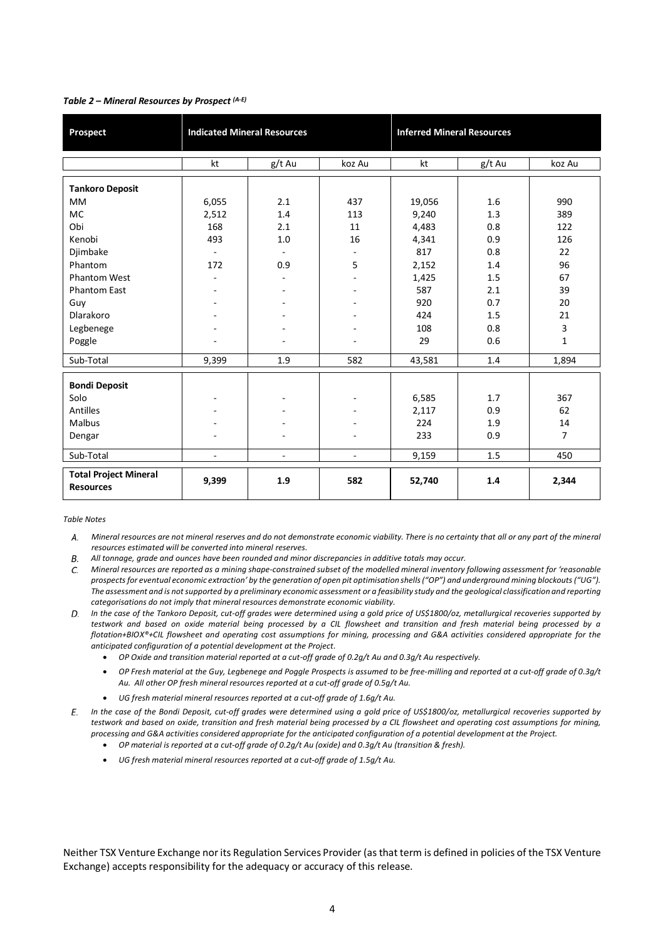| Prospect                                         |                | <b>Indicated Mineral Resources</b> |                          | <b>Inferred Mineral Resources</b> |        |                |
|--------------------------------------------------|----------------|------------------------------------|--------------------------|-----------------------------------|--------|----------------|
|                                                  | kt             | g/t Au                             | koz Au                   | kt                                | g/t Au | koz Au         |
| <b>Tankoro Deposit</b>                           |                |                                    |                          |                                   |        |                |
| <b>MM</b>                                        | 6,055          | 2.1                                | 437                      | 19,056                            | 1.6    | 990            |
| <b>MC</b>                                        | 2,512          | 1.4                                | 113                      | 9,240                             | 1.3    | 389            |
| Obi                                              | 168            | 2.1                                | 11                       | 4,483                             | 0.8    | 122            |
| Kenobi                                           | 493            | 1.0                                | 16                       | 4,341                             | 0.9    | 126            |
| Djimbake                                         | $\omega$       |                                    |                          | 817                               | 0.8    | 22             |
| Phantom                                          | 172            | 0.9                                | 5                        | 2,152                             | 1.4    | 96             |
| <b>Phantom West</b>                              | ÷.             |                                    |                          | 1,425                             | 1.5    | 67             |
| <b>Phantom East</b>                              |                |                                    |                          | 587                               | 2.1    | 39             |
| Guy                                              |                |                                    |                          | 920                               | 0.7    | 20             |
| Dlarakoro                                        |                |                                    |                          | 424                               | 1.5    | 21             |
| Legbenege                                        |                | ٠                                  | ٠                        | 108                               | 0.8    | 3              |
| Poggle                                           | $\rightarrow$  | $\blacksquare$                     | $\overline{\phantom{a}}$ | 29                                | 0.6    | $\mathbf{1}$   |
| Sub-Total                                        | 9,399          | 1.9                                | 582                      | 43,581                            | 1.4    | 1,894          |
| <b>Bondi Deposit</b>                             |                |                                    |                          |                                   |        |                |
| Solo                                             | $\blacksquare$ | $\overline{\phantom{a}}$           | $\overline{a}$           | 6,585                             | 1.7    | 367            |
| <b>Antilles</b>                                  |                | $\overline{\phantom{a}}$           |                          | 2,117                             | 0.9    | 62             |
| Malbus                                           |                |                                    |                          | 224                               | 1.9    | 14             |
| Dengar                                           | ٠              | $\overline{\phantom{a}}$           | ٠                        | 233                               | 0.9    | $\overline{7}$ |
| Sub-Total                                        | ÷,             | $\overline{\phantom{a}}$           | $\overline{\phantom{a}}$ | 9,159                             | 1.5    | 450            |
| <b>Total Project Mineral</b><br><b>Resources</b> | 9,399          | 1.9                                | 582                      | 52,740                            | 1.4    | 2,344          |

## *Table 2 – Mineral Resources by Prospect (A-E)*

#### *Table Notes*

- *Mineral resources are not mineral reserves and do not demonstrate economic viability. There is no certainty that all or any part of the mineral resources estimated will be converted into mineral reserves.*
- $\overline{B}$ *All tonnage, grade and ounces have been rounded and minor discrepancies in additive totals may occur.*
- *Mineral resources are reported as a mining shape-constrained subset of the modelled mineral inventory following assessment for 'reasonable*  C. *prospects for eventual economic extraction' by the generation of open pit optimisation shells ("OP") and underground mining blockouts ("UG"). The assessment and is not supported by a preliminary economic assessment or a feasibility study and the geological classification and reporting categorisations do not imply that mineral resources demonstrate economic viability.*
- *In the case of the Tankoro Deposit, cut-off grades were determined using a gold price of US\$1800/oz, metallurgical recoveries supported by testwork and based on oxide material being processed by a CIL flowsheet and transition and fresh material being processed by a flotation+BIOX®+CIL flowsheet and operating cost assumptions for mining, processing and G&A activities considered appropriate for the anticipated configuration of a potential development at the Project.* 
	- *OP Oxide and transition material reported at a cut-off grade of 0.2g/t Au and 0.3g/t Au respectively.*
	- *OP Fresh material at the Guy, Legbenege and Poggle Prospects is assumed to be free-milling and reported at a cut-off grade of 0.3g/t Au. All other OP fresh mineral resources reported at a cut-off grade of 0.5g/t Au.*
	- *UG fresh material mineral resources reported at a cut-off grade of 1.6g/t Au.*
- *In the case of the Bondi Deposit, cut-off grades were determined using a gold price of US\$1800/oz, metallurgical recoveries supported by testwork and based on oxide, transition and fresh material being processed by a CIL flowsheet and operating cost assumptions for mining, processing and G&A activities considered appropriate for the anticipated configuration of a potential development at the Project.*
	- *OP material is reported at a cut-off grade of 0.2g/t Au (oxide) and 0.3g/t Au (transition & fresh).*
	- *UG fresh material mineral resources reported at a cut-off grade of 1.5g/t Au.*

Neither TSX Venture Exchange nor its Regulation Services Provider (as that term is defined in policies of the TSX Venture Exchange) accepts responsibility for the adequacy or accuracy of this release.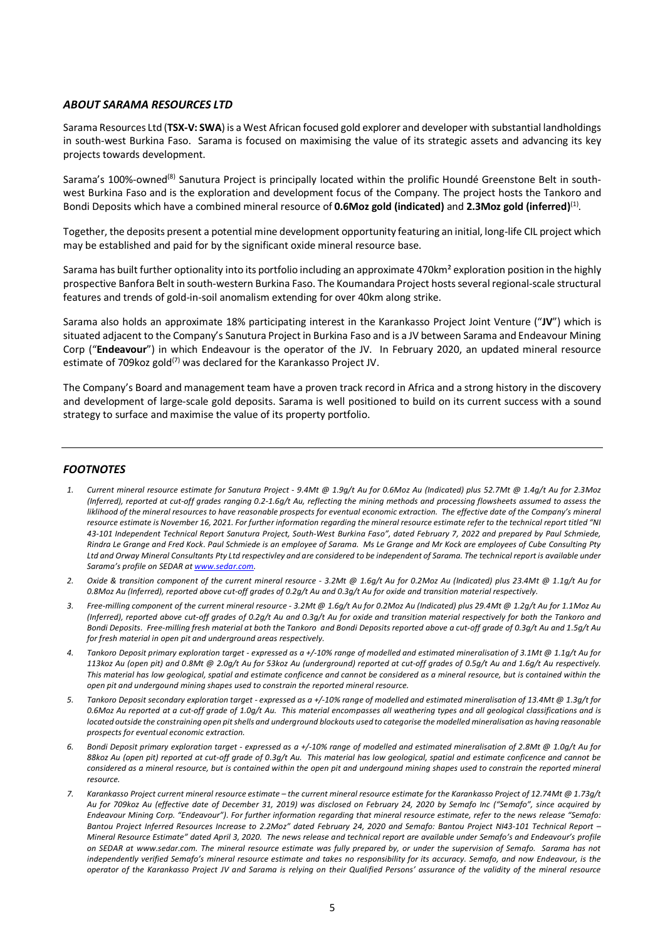# *ABOUT SARAMA RESOURCES LTD*

Sarama Resources Ltd (**TSX-V: SWA**) is a West African focused gold explorer and developer with substantial landholdings in south-west Burkina Faso. Sarama is focused on maximising the value of its strategic assets and advancing its key projects towards development.

Sarama's 100%-owned<sup>(8)</sup> Sanutura Project is principally located within the prolific Houndé Greenstone Belt in southwest Burkina Faso and is the exploration and development focus of the Company. The project hosts the Tankoro and Bondi Deposits which have a combined mineral resource of **0.6Moz gold (indicated)** and **2.3Moz gold (inferred)**(1).

Together, the deposits present a potential mine development opportunity featuring an initial, long-life CIL project which may be established and paid for by the significant oxide mineral resource base.

Sarama has built further optionality into its portfolio including an approximate 470km² exploration position in the highly prospective Banfora Belt in south-western Burkina Faso. The Koumandara Project hosts several regional-scale structural features and trends of gold-in-soil anomalism extending for over 40km along strike.

Sarama also holds an approximate 18% participating interest in the Karankasso Project Joint Venture ("**JV**") which is situated adjacent to the Company's Sanutura Project in Burkina Faso and is a JV between Sarama and Endeavour Mining Corp ("**Endeavour**") in which Endeavour is the operator of the JV. In February 2020, an updated mineral resource estimate of 709 koz gold<sup>(7)</sup> was declared for the Karankasso Project JV.

The Company's Board and management team have a proven track record in Africa and a strong history in the discovery and development of large-scale gold deposits. Sarama is well positioned to build on its current success with a sound strategy to surface and maximise the value of its property portfolio.

## *FOOTNOTES*

- *1. Current mineral resource estimate for Sanutura Project - 9.4Mt @ 1.9g/t Au for 0.6Moz Au (Indicated) plus 52.7Mt @ 1.4g/t Au for 2.3Moz (Inferred), reported at cut-off grades ranging 0.2-1.6g/t Au, reflecting the mining methods and processing flowsheets assumed to assess the*  liklihood of the mineral resources to have reasonable prospects for eventual economic extraction. The effective date of the Company's mineral *resource estimate is November 16, 2021. For further information regarding the mineral resource estimate refer to the technical report titled "NI 43-101 Independent Technical Report Sanutura Project, South-West Burkina Faso", dated February 7, 2022 and prepared by Paul Schmiede, Rindra Le Grange and Fred Kock. Paul Schmiede is an employee of Sarama. Ms Le Grange and Mr Kock are employees of Cube Consulting Pty Ltd and Orway Mineral Consultants Pty Ltd respectivley and are considered to be independent of Sarama. The technical report is available under Sarama's profile on SEDAR a[t www.sedar.com.](http://www.sedar.com/)*
- *2. Oxide & transition component of the current mineral resource - 3.2Mt @ 1.6g/t Au for 0.2Moz Au (Indicated) plus 23.4Mt @ 1.1g/t Au for 0.8Moz Au (Inferred), reported above cut-off grades of 0.2g/t Au and 0.3g/t Au for oxide and transition material respectively.*
- *3. Free-milling component of the current mineral resource - 3.2Mt @ 1.6g/t Au for 0.2Moz Au (Indicated) plus 29.4Mt @ 1.2g/t Au for 1.1Moz Au (Inferred), reported above cut-off grades of 0.2g/t Au and 0.3g/t Au for oxide and transition material respectively for both the Tankoro and Bondi Deposits. Free-milling fresh material at both the Tankoro and Bondi Deposits reported above a cut-off grade of 0.3g/t Au and 1.5g/t Au for fresh material in open pit and underground areas respectively.*
- *4. Tankoro Deposit primary exploration target - expressed as a +/-10% range of modelled and estimated mineralisation of 3.1Mt @ 1.1g/t Au for 113koz Au (open pit) and 0.8Mt @ 2.0g/t Au for 53koz Au (underground) reported at cut-off grades of 0.5g/t Au and 1.6g/t Au respectively. This material has low geological, spatial and estimate conficence and cannot be considered as a mineral resource, but is contained within the open pit and undergound mining shapes used to constrain the reported mineral resource.*
- *5. Tankoro Deposit secondary exploration target - expressed as a +/-10% range of modelled and estimated mineralisation of 13.4Mt @ 1.3g/t for 0.6Moz Au reported at a cut-off grade of 1.0g/t Au. This material encompasses all weathering types and all geological classifications and is located outside the constraining open pit shells and underground blockouts used to categorise the modelled mineralisation as having reasonable prospects for eventual economic extraction.*
- *6. Bondi Deposit primary exploration target - expressed as a +/-10% range of modelled and estimated mineralisation of 2.8Mt @ 1.0g/t Au for 88koz Au (open pit) reported at cut-off grade of 0.3g/t Au. This material has low geological, spatial and estimate conficence and cannot be considered as a mineral resource, but is contained within the open pit and undergound mining shapes used to constrain the reported mineral resource.*
- *7. Karankasso Project current mineral resource estimate – the current mineral resource estimate for the Karankasso Project of 12.74Mt @ 1.73g/t Au for 709koz Au (effective date of December 31, 2019) was disclosed on February 24, 2020 by Semafo Inc ("Semafo", since acquired by Endeavour Mining Corp. "Endeavour"). For further information regarding that mineral resource estimate, refer to the news release "Semafo: Bantou Project Inferred Resources Increase to 2.2Moz" dated February 24, 2020 and Semafo: Bantou Project NI43-101 Technical Report – Mineral Resource Estimate" dated April 3, 2020. The news release and technical report are available under Semafo's and Endeavour's profile on SEDAR at [www.sedar.com.](http://www.sedar.com/) The mineral resource estimate was fully prepared by, or under the supervision of Semafo. Sarama has not independently verified Semafo's mineral resource estimate and takes no responsibility for its accuracy. Semafo, and now Endeavour, is the operator of the Karankasso Project JV and Sarama is relying on their Qualified Persons' assurance of the validity of the mineral resource*